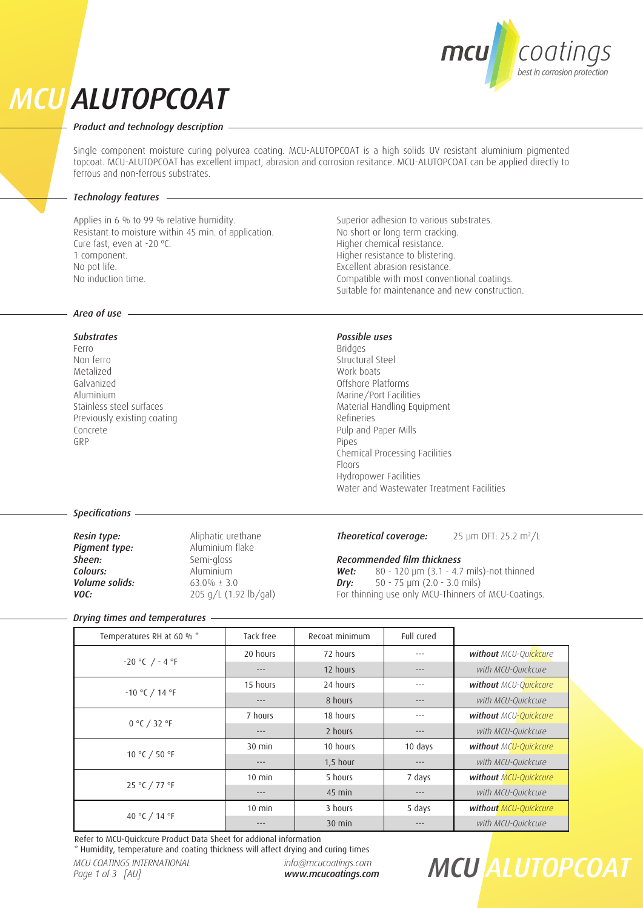## coatings best in corrosion protection

## *MCU ALUTOPCOAT*

## *Product and technology description*

Single component moisture curing polyurea coating. MCU-ALUTOPCOAT is a high solids UV resistant aluminium pigmented topcoat. MCU-ALUTOPCOAT has excellent impact, abrasion and corrosion resitance. MCU-ALUTOPCOAT can be applied directly to ferrous and non-ferrous substrates.

## *Technology features*

Applies in 6 % to 99 % relative humidity. Resistant to moisture within 45 min. of application. Cure fast, even at -20 ºC. 1 component. No pot life. No induction time.

## *Area of use*

## *Substrates*

Ferro Non ferro Metalized Galvanized Aluminium Stainless steel surfaces Previously existing coating Concrete GRP

Superior adhesion to various substrates. No short or long term cracking. Higher chemical resistance. Higher resistance to blistering. Excellent abrasion resistance. Compatible with most conventional coatings. Suitable for maintenance and new construction.

## *Possible uses*

Bridges Structural Steel Work boats Offshore Platforms Marine/Port Facilities Material Handling Equipment Refineries Pulp and Paper Mills Pipes Chemical Processing Facilities Floors Hydropower Facilities Water and Wastewater Treatment Facilities

## *Specifications*

*Pigment type:*<br>Sheen: **Colours:** Aluminium<br> **Volume solids:** 63.0% ± 3.0 *Volume solids:* 

**Resin type:** Aliphatic urethane<br> **Pigment type:** Aluminium flake Semi-gloss *VOC:* 205 g/L (1.92 lb/gal)

#### **Theoretical coverage:** 25 µm DFT: 25.2 m<sup>2</sup>/L

## *Recommended film thickness*

**Wet:** 80 - 120 μm (3.1 - 4.7 mils)-not thinned<br>**Dry:** 50 - 75 μm (2.0 - 3.0 mils) *Dry:* 50 - 75 μm (2.0 - 3.0 mils) For thinning use only MCU-Thinners of MCU-Coatings.

## *Drying times and temperatures*

| Temperatures RH at 60 % * | Tack free | Recoat minimum | Full cured |                       |
|---------------------------|-----------|----------------|------------|-----------------------|
| $-20 °C$ / $-4 °F$        | 20 hours  | 72 hours       |            | without MCU-Quickcure |
|                           |           | 12 hours       |            | with MCU-Quickcure    |
| $-10 °C / 14 °F$          | 15 hours  | 24 hours       |            | without MCU-Quickcure |
|                           |           | 8 hours        | ---        | with MCU-Quickcure    |
| 0 °C / 32 °F              | 7 hours   | 18 hours       |            | without MCU-Quickcure |
|                           | $---$     | 2 hours        | ---        | with MCU-Quickcure    |
| 10 °C / 50 °F             | $30$ min  | 10 hours       | 10 days    | without MCU-Quickcure |
|                           | $---$     | $1,5$ hour     | ---        | with MCU-Quickcure    |
| 25 °C / 77 °F             | $10$ min  | 5 hours        | 7 days     | without MCU-Quickcure |
|                           | $---$     | $45$ min       | ---        | with MCU-Quickcure    |
| 40 °C / 14 °F             | $10$ min  | 3 hours        | 5 days     | without MCU-Quickcure |
|                           |           | $30$ min       |            | with MCU-Quickcure    |

Refer to MCU-Quickcure Product Data Sheet for addional information

\* Humidity, temperature and coating thickness will affect drying and curing times

*info@mcucoatings.com www.mcucoatings.com*

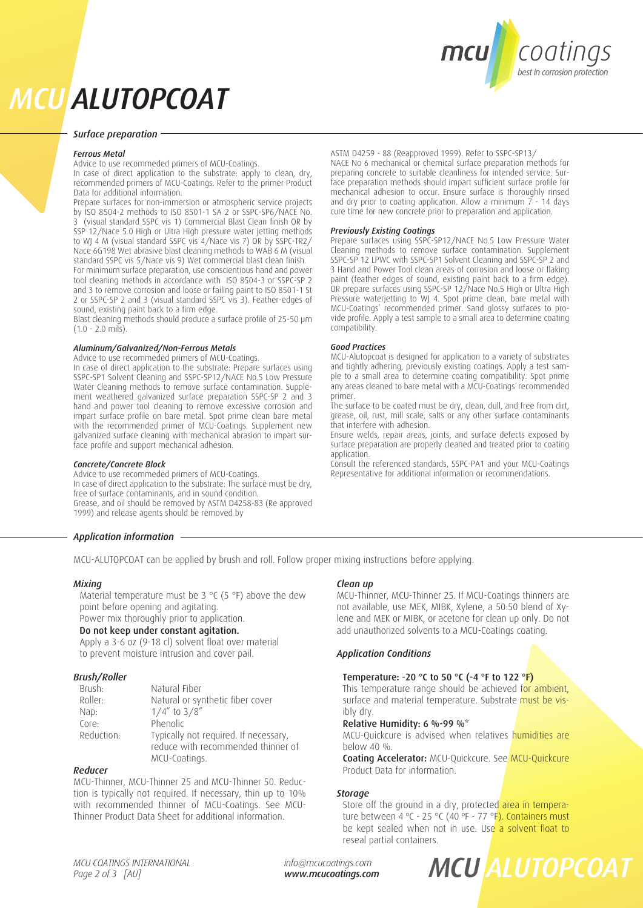

## *MCU ALUTOPCOAT*

### *Surface preparation*

#### *Ferrous Metal*

Advice to use recommeded primers of MCU-Coatings.

In case of direct application to the substrate: apply to clean, dry, recommended primers of MCU-Coatings. Refer to the primer Product Data for additional information.

Prepare surfaces for non-immersion or atmospheric service projects by ISO 8504-2 methods to ISO 8501-1 SA 2 or SSPC-SP6/NACE No. 3 (visual standard SSPC vis 1) Commercial Blast Clean finish OR by SSP 12/Nace 5.0 High or Ultra High pressure water jetting methods to WJ 4 M (visual standard SSPC vis 4/Nace vis 7) OR by SSPC-TR2/ Nace 6G198 Wet abrasive blast cleaning methods to WAB 6 M (visual standard SSPC vis 5/Nace vis 9) Wet commercial blast clean finish. For minimum surface preparation, use conscientious hand and power tool cleaning methods in accordance with ISO 8504-3 or SSPC-SP 2 and 3 to remove corrosion and loose or failing paint to ISO 8501-1 St 2 or SSPC-SP 2 and 3 (visual standard SSPC vis 3). Feather-edges of sound, existing paint back to a firm edge.

Blast cleaning methods should produce a surface profile of 25-50 μm  $(1.0 - 2.0 \text{ mi/s})$ .

### *Aluminum/Galvanized/Non-Ferrous Metals*

Advice to use recommeded primers of MCU-Coatings.

In case of direct application to the substrate: Prepare surfaces using SSPC-SP1 Solvent Cleaning and SSPC-SP12/NACE No.5 Low Pressure Water Cleaning methods to remove surface contamination. Supplement weathered galvanized surface preparation SSPC-SP 2 and 3 hand and power tool cleaning to remove excessive corrosion and impart surface profile on bare metal. Spot prime clean bare metal with the recommended primer of MCU-Coatings. Supplement new galvanized surface cleaning with mechanical abrasion to impart surface profile and support mechanical adhesion.

### *Concrete/Concrete Block*

Advice to use recommeded primers of MCU-Coatings. In case of direct application to the substrate: The surface must be dry, free of surface contaminants, and in sound condition. Grease, and oil should be removed by ASTM D4258-83 (Re approved 1999) and release agents should be removed by

## *Application information*

MCU-ALUTOPCOAT can be applied by brush and roll. Follow proper mixing instructions before applying.

### *Mixing*

Material temperature must be 3  $\degree$ C (5  $\degree$ F) above the dew point before opening and agitating.

Power mix thoroughly prior to application.

## Do not keep under constant agitation.

Apply a 3-6 oz (9-18 cl) solvent float over material to prevent moisture intrusion and cover pail.

### *Brush/Roller*

| Brush:     | Natural Fiber                         |
|------------|---------------------------------------|
| Roller:    | Natural or synthetic fiber cover      |
| Nap:       | $1/4''$ to $3/8''$                    |
| Core:      | Phenolic                              |
| Reduction: | Typically not required. If necessary, |
|            | reduce with recommended thinner of    |
|            | MCU-Coatings.                         |

## *Reducer*

MCU-Thinner, MCU-Thinner 25 and MCU-Thinner 50. Reduction is typically not required. If necessary, thin up to 10% with recommended thinner of MCU-Coatings. See MCU-Thinner Product Data Sheet for additional information.

ASTM D4259 - 88 (Reapproved 1999). Refer to SSPC-SP13/

NACE No 6 mechanical or chemical surface preparation methods for preparing concrete to suitable cleanliness for intended service. Surface preparation methods should impart sufficient surface profile for mechanical adhesion to occur. Ensure surface is thoroughly rinsed and dry prior to coating application. Allow a minimum  $\overline{7}$  - 14 days cure time for new concrete prior to preparation and application.

#### *Previously Existing Coatings*

Prepare surfaces using SSPC-SP12/NACE No.5 Low Pressure Water Cleaning methods to remove surface contamination. Supplement SSPC-SP 12 LPWC with SSPC-SP1 Solvent Cleaning and SSPC-SP 2 and 3 Hand and Power Tool clean areas of corrosion and loose or flaking paint (feather edges of sound, existing paint back to a firm edge). OR prepare surfaces using SSPC-SP 12/Nace No.5 High or Ultra High Pressure waterjetting to WJ 4. Spot prime clean, bare metal with MCU-Coatings' recommended primer. Sand glossy surfaces to provide profile. Apply a test sample to a small area to determine coating compatibility.

#### *Good Practices*

MCU-Alutopcoat is designed for application to a variety of substrates and tightly adhering, previously existing coatings. Apply a test sample to a small area to determine coating compatibility. Spot prime any areas cleaned to bare metal with a MCU-Coatings´ recommended primer.

The surface to be coated must be dry, clean, dull, and free from dirt, grease, oil, rust, mill scale, salts or any other surface contaminants that interfere with adhesion.

Ensure welds, repair areas, joints, and surface defects exposed by surface preparation are properly cleaned and treated prior to coating application.

Consult the referenced standards, SSPC-PA1 and your MCU-Coatings Representative for additional information or recommendations.

## *Clean up*

MCU-Thinner, MCU-Thinner 25. If MCU-Coatings thinners are not available, use MEK, MIBK, Xylene, a 50:50 blend of Xylene and MEK or MIBK, or acetone for clean up only. Do not add unauthorized solvents to a MCU-Coatings coating.

## *Application Conditions*

## Temperature: -20 °C to 50 °C (-4 °F to 122 °F)

This temperature range should be achieved for ambient, surface and material temperature. Substrate must be visibly dry.

#### Relative Humidity: 6 %-99 %\*

MCU-Quickcure is advised when relatives humidities are below 40 %.

Coating Accelerator: MCU-Quickcure. See MCU-Quickcure Product Data for information.

### *Storage*

Store off the ground in a dry, protected area in temperature between 4 °C - 25 °C (40 °F - 77 °F). Containers must be kept sealed when not in use. Use a solvent float to reseal partial containers.

*MCU ALUTOPCOAT*

*info@mcucoatings.com www.mcucoatings.com*